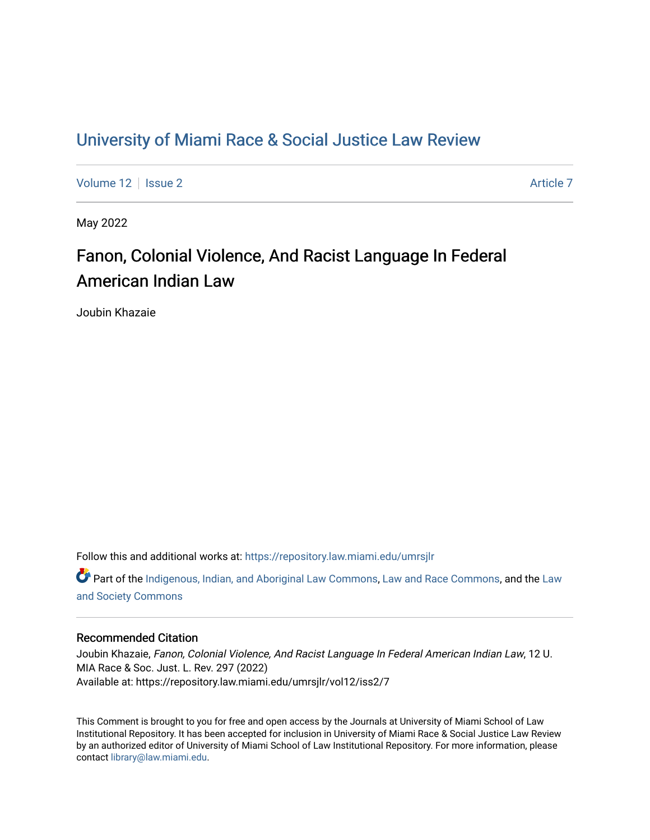## [University of Miami Race & Social Justice Law Review](https://repository.law.miami.edu/umrsjlr)

[Volume 12](https://repository.law.miami.edu/umrsjlr/vol12) | [Issue 2](https://repository.law.miami.edu/umrsjlr/vol12/iss2) Article 7

May 2022

# Fanon, Colonial Violence, And Racist Language In Federal American Indian Law

Joubin Khazaie

Follow this and additional works at: [https://repository.law.miami.edu/umrsjlr](https://repository.law.miami.edu/umrsjlr?utm_source=repository.law.miami.edu%2Fumrsjlr%2Fvol12%2Fiss2%2F7&utm_medium=PDF&utm_campaign=PDFCoverPages)

**C** Part of the [Indigenous, Indian, and Aboriginal Law Commons](http://network.bepress.com/hgg/discipline/894?utm_source=repository.law.miami.edu%2Fumrsjlr%2Fvol12%2Fiss2%2F7&utm_medium=PDF&utm_campaign=PDFCoverPages), [Law and Race Commons](http://network.bepress.com/hgg/discipline/1300?utm_source=repository.law.miami.edu%2Fumrsjlr%2Fvol12%2Fiss2%2F7&utm_medium=PDF&utm_campaign=PDFCoverPages), and the [Law](http://network.bepress.com/hgg/discipline/853?utm_source=repository.law.miami.edu%2Fumrsjlr%2Fvol12%2Fiss2%2F7&utm_medium=PDF&utm_campaign=PDFCoverPages) [and Society Commons](http://network.bepress.com/hgg/discipline/853?utm_source=repository.law.miami.edu%2Fumrsjlr%2Fvol12%2Fiss2%2F7&utm_medium=PDF&utm_campaign=PDFCoverPages)

## Recommended Citation

Joubin Khazaie, Fanon, Colonial Violence, And Racist Language In Federal American Indian Law, 12 U. MIA Race & Soc. Just. L. Rev. 297 (2022) Available at: https://repository.law.miami.edu/umrsjlr/vol12/iss2/7

This Comment is brought to you for free and open access by the Journals at University of Miami School of Law Institutional Repository. It has been accepted for inclusion in University of Miami Race & Social Justice Law Review by an authorized editor of University of Miami School of Law Institutional Repository. For more information, please contact [library@law.miami.edu](mailto:library@law.miami.edu).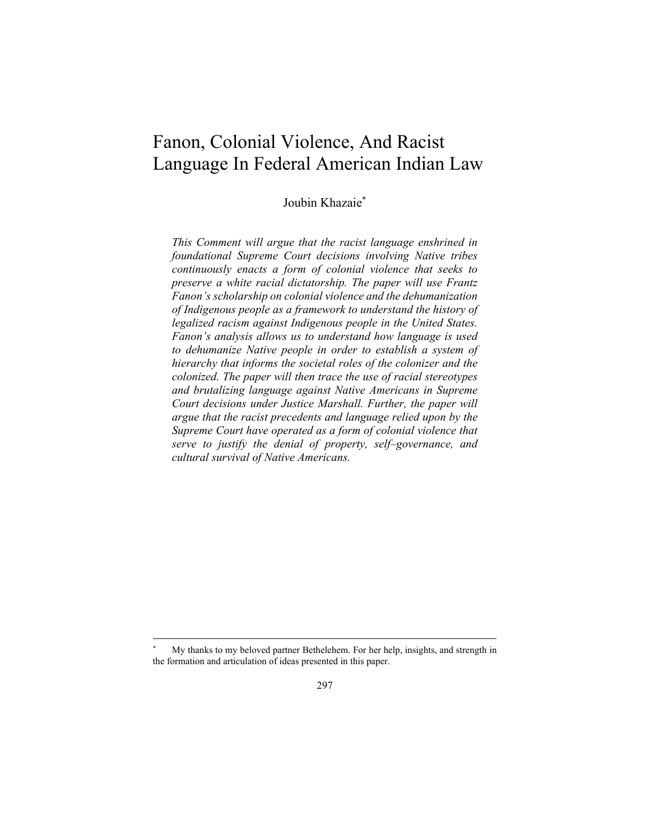## Fanon, Colonial Violence, And Racist Language In Federal American Indian Law

Joubin Khazaie\*

*This Comment will argue that the racist language enshrined in foundational Supreme Court decisions involving Native tribes continuously enacts a form of colonial violence that seeks to preserve a white racial dictatorship. The paper will use Frantz Fanon's scholarship on colonial violence and the dehumanization of Indigenous people as a framework to understand the history of legalized racism against Indigenous people in the United States. Fanon's analysis allows us to understand how language is used to dehumanize Native people in order to establish a system of hierarchy that informs the societal roles of the colonizer and the colonized. The paper will then trace the use of racial stereotypes and brutalizing language against Native Americans in Supreme Court decisions under Justice Marshall. Further, the paper will argue that the racist precedents and language relied upon by the Supreme Court have operated as a form of colonial violence that serve to justify the denial of property, self–governance, and cultural survival of Native Americans.* 

My thanks to my beloved partner Bethelehem. For her help, insights, and strength in the formation and articulation of ideas presented in this paper.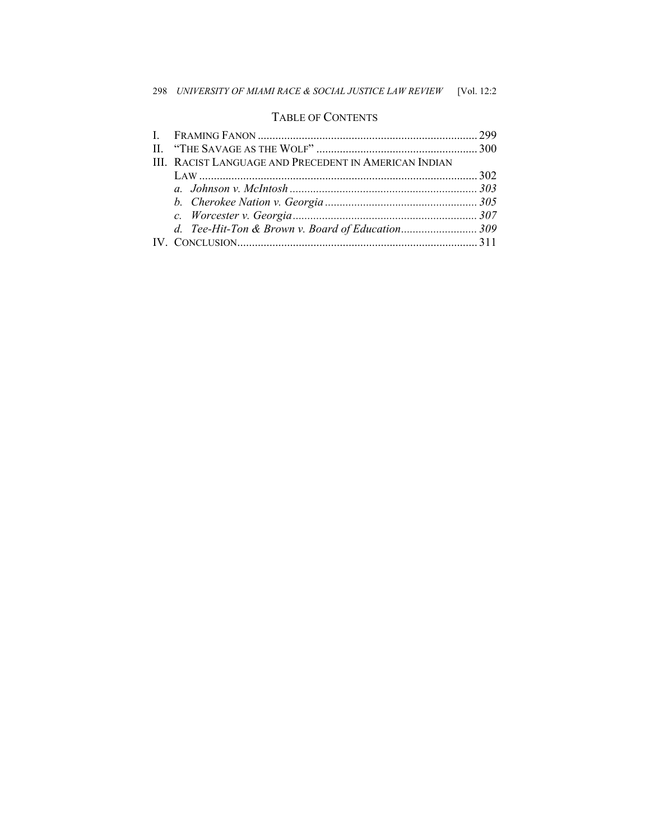## TABLE OF CONTENTS

| III. RACIST LANGUAGE AND PRECEDENT IN AMERICAN INDIAN |  |
|-------------------------------------------------------|--|
|                                                       |  |
|                                                       |  |
|                                                       |  |
|                                                       |  |
| d. Tee-Hit-Ton & Brown v. Board of Education309       |  |
|                                                       |  |
|                                                       |  |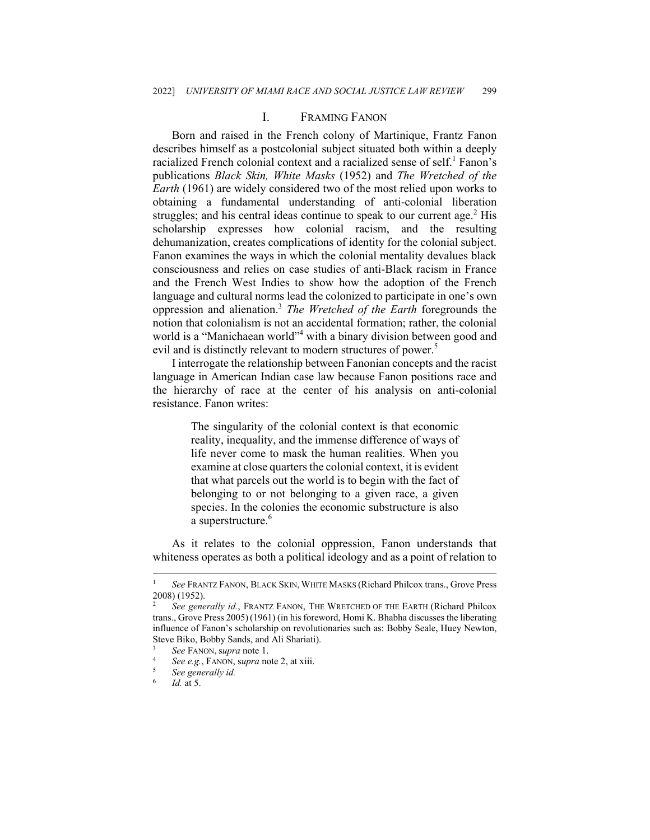#### I. FRAMING FANON

Born and raised in the French colony of Martinique, Frantz Fanon describes himself as a postcolonial subject situated both within a deeply racialized French colonial context and a racialized sense of self.<sup>1</sup> Fanon's publications *Black Skin, White Masks* (1952) and *The Wretched of the Earth* (1961) are widely considered two of the most relied upon works to obtaining a fundamental understanding of anti-colonial liberation struggles; and his central ideas continue to speak to our current age.<sup>2</sup> His scholarship expresses how colonial racism, and the resulting dehumanization, creates complications of identity for the colonial subject. Fanon examines the ways in which the colonial mentality devalues black consciousness and relies on case studies of anti-Black racism in France and the French West Indies to show how the adoption of the French language and cultural norms lead the colonized to participate in one's own oppression and alienation.3 *The Wretched of the Earth* foregrounds the notion that colonialism is not an accidental formation; rather, the colonial world is a "Manichaean world"<sup>4</sup> with a binary division between good and evil and is distinctly relevant to modern structures of power.<sup>5</sup>

I interrogate the relationship between Fanonian concepts and the racist language in American Indian case law because Fanon positions race and the hierarchy of race at the center of his analysis on anti-colonial resistance. Fanon writes:

> The singularity of the colonial context is that economic reality, inequality, and the immense difference of ways of life never come to mask the human realities. When you examine at close quarters the colonial context, it is evident that what parcels out the world is to begin with the fact of belonging to or not belonging to a given race, a given species. In the colonies the economic substructure is also a superstructure.<sup>6</sup>

As it relates to the colonial oppression, Fanon understands that whiteness operates as both a political ideology and as a point of relation to

<sup>1</sup> *See* FRANTZ FANON, BLACK SKIN, WHITE MASKS (Richard Philcox trans., Grove Press 2008) (1952).

<sup>2</sup> *See generally id.*, FRANTZ FANON, THE WRETCHED OF THE EARTH (Richard Philcox trans., Grove Press 2005)(1961) (in his foreword, Homi K. Bhabha discusses the liberating influence of Fanon's scholarship on revolutionaries such as: Bobby Seale, Huey Newton, Steve Biko, Bobby Sands, and Ali Shariati).

<sup>3</sup> *See* FANON, <sup>s</sup>*upra* note 1. 4 *See e.g.*, FANON, s*upra* note 2, at xiii. 5 *See generally id.*

<sup>6</sup> *Id.* at 5.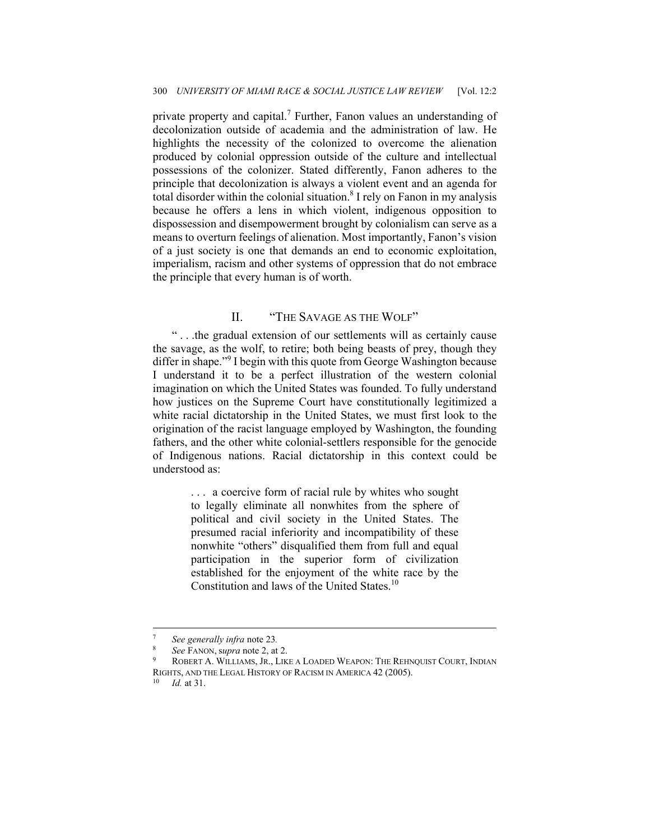private property and capital.<sup>7</sup> Further, Fanon values an understanding of decolonization outside of academia and the administration of law. He highlights the necessity of the colonized to overcome the alienation produced by colonial oppression outside of the culture and intellectual possessions of the colonizer. Stated differently, Fanon adheres to the principle that decolonization is always a violent event and an agenda for total disorder within the colonial situation.<sup>8</sup> I rely on Fanon in my analysis because he offers a lens in which violent, indigenous opposition to dispossession and disempowerment brought by colonialism can serve as a means to overturn feelings of alienation. Most importantly, Fanon's vision of a just society is one that demands an end to economic exploitation, imperialism, racism and other systems of oppression that do not embrace the principle that every human is of worth.

#### II. "THE SAVAGE AS THE WOLF"

" . . .the gradual extension of our settlements will as certainly cause the savage, as the wolf, to retire; both being beasts of prey, though they differ in shape."<sup>9</sup> I begin with this quote from George Washington because I understand it to be a perfect illustration of the western colonial imagination on which the United States was founded. To fully understand how justices on the Supreme Court have constitutionally legitimized a white racial dictatorship in the United States, we must first look to the origination of the racist language employed by Washington, the founding fathers, and the other white colonial-settlers responsible for the genocide of Indigenous nations. Racial dictatorship in this context could be understood as:

> . . . a coercive form of racial rule by whites who sought to legally eliminate all nonwhites from the sphere of political and civil society in the United States. The presumed racial inferiority and incompatibility of these nonwhite "others" disqualified them from full and equal participation in the superior form of civilization established for the enjoyment of the white race by the Constitution and laws of the United States.<sup>10</sup>

<sup>7</sup> *See generally infra* note 23*.* 

ROBERT A. WILLIAMS, JR., LIKE A LOADED WEAPON: THE REHNQUIST COURT, INDIAN RIGHTS, AND THE LEGAL HISTORY OF RACISM IN AMERICA 42 (2005). 10 *Id.* at 31.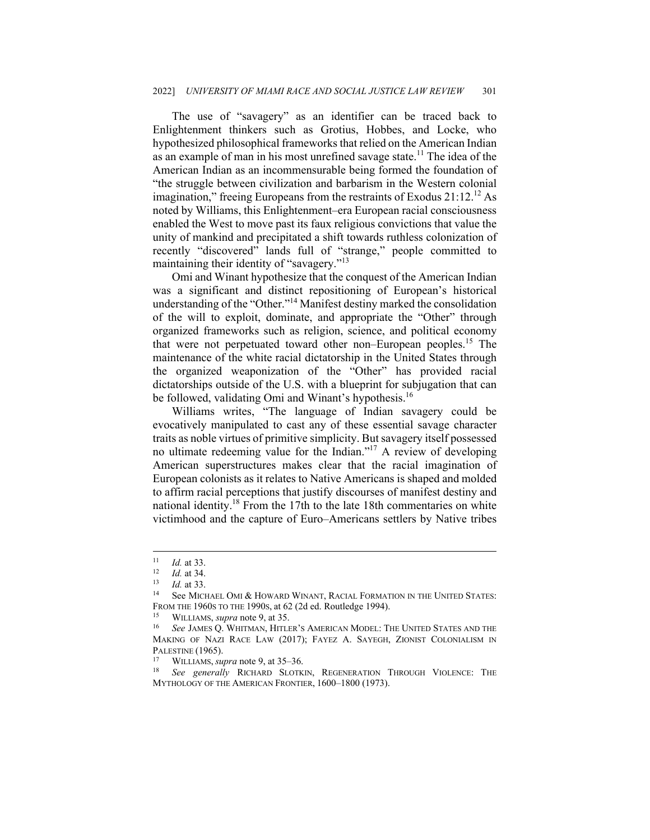The use of "savagery" as an identifier can be traced back to Enlightenment thinkers such as Grotius, Hobbes, and Locke, who hypothesized philosophical frameworks that relied on the American Indian as an example of man in his most unrefined savage state.<sup>11</sup> The idea of the American Indian as an incommensurable being formed the foundation of "the struggle between civilization and barbarism in the Western colonial imagination," freeing Europeans from the restraints of Exodus 21:12.<sup>12</sup> As noted by Williams, this Enlightenment–era European racial consciousness enabled the West to move past its faux religious convictions that value the unity of mankind and precipitated a shift towards ruthless colonization of recently "discovered" lands full of "strange," people committed to maintaining their identity of "savagery."<sup>13</sup>

Omi and Winant hypothesize that the conquest of the American Indian was a significant and distinct repositioning of European's historical understanding of the "Other."14 Manifest destiny marked the consolidation of the will to exploit, dominate, and appropriate the "Other" through organized frameworks such as religion, science, and political economy that were not perpetuated toward other non–European peoples.<sup>15</sup> The maintenance of the white racial dictatorship in the United States through the organized weaponization of the "Other" has provided racial dictatorships outside of the U.S. with a blueprint for subjugation that can be followed, validating Omi and Winant's hypothesis.<sup>16</sup>

Williams writes, "The language of Indian savagery could be evocatively manipulated to cast any of these essential savage character traits as noble virtues of primitive simplicity. But savagery itself possessed no ultimate redeeming value for the Indian."17 A review of developing American superstructures makes clear that the racial imagination of European colonists as it relates to Native Americans is shaped and molded to affirm racial perceptions that justify discourses of manifest destiny and national identity.<sup>18</sup> From the 17th to the late 18th commentaries on white victimhood and the capture of Euro–Americans settlers by Native tribes

<sup>11</sup> *Id.* at 33.<br>
12 *Id.* at 34.<br>
13 *Id.* at 33.<br>
14 See MICHAEL OMI & HOWARD WINANT, RACIAL FORMATION IN THE UNITED STATES: FROM THE 1960s TO THE 1990s, at 62 (2d ed. Routledge 1994).<br><sup>15</sup> WILLIAMS, *supra* note 9, at 35.<br><sup>16</sup> See JAMES Q. WHITMAN, HITLER'S AMERICAN MODEL: THE UNITED STATES AND THE

MAKING OF NAZI RACE LAW (2017); FAYEZ A. SAYEGH, ZIONIST COLONIALISM IN PALESTINE (1965).<br><sup>17</sup> WILLIAMS, *supra* note 9, at 35–36.<br><sup>18</sup> *See generally* RICHARD SLOTKIN, REGENERATION THROUGH VIOLENCE: THE

MYTHOLOGY OF THE AMERICAN FRONTIER, 1600–1800 (1973).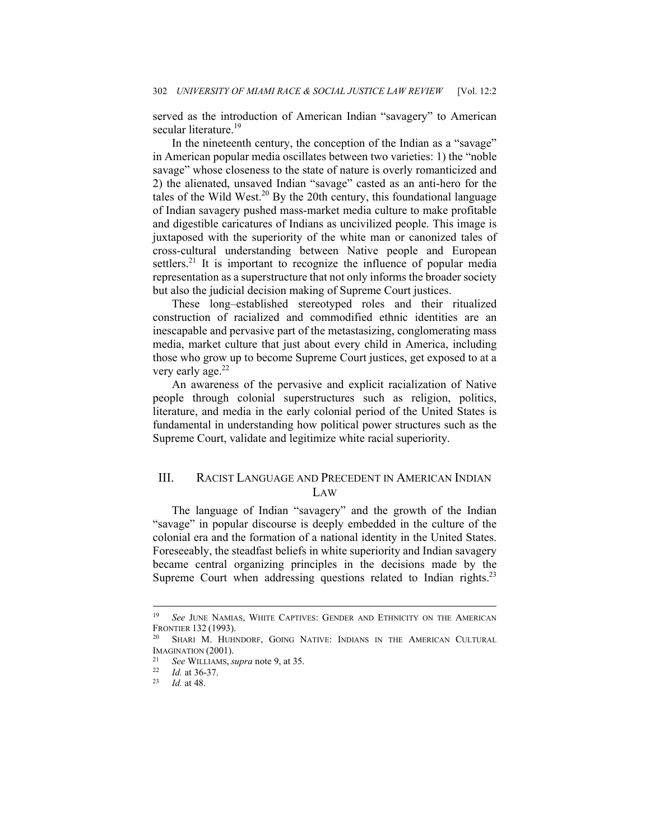served as the introduction of American Indian "savagery" to American secular literature.<sup>19</sup>

In the nineteenth century, the conception of the Indian as a "savage" in American popular media oscillates between two varieties: 1) the "noble savage" whose closeness to the state of nature is overly romanticized and 2) the alienated, unsaved Indian "savage" casted as an anti-hero for the tales of the Wild West.<sup>20</sup> By the 20th century, this foundational language of Indian savagery pushed mass-market media culture to make profitable and digestible caricatures of Indians as uncivilized people. This image is juxtaposed with the superiority of the white man or canonized tales of cross-cultural understanding between Native people and European settlers.<sup>21</sup> It is important to recognize the influence of popular media representation as a superstructure that not only informs the broader society but also the judicial decision making of Supreme Court justices.

These long–established stereotyped roles and their ritualized construction of racialized and commodified ethnic identities are an inescapable and pervasive part of the metastasizing, conglomerating mass media, market culture that just about every child in America, including those who grow up to become Supreme Court justices, get exposed to at a very early age. $22$ 

An awareness of the pervasive and explicit racialization of Native people through colonial superstructures such as religion, politics, literature, and media in the early colonial period of the United States is fundamental in understanding how political power structures such as the Supreme Court, validate and legitimize white racial superiority.

## III. RACIST LANGUAGE AND PRECEDENT IN AMERICAN INDIAN LAW

The language of Indian "savagery" and the growth of the Indian "savage" in popular discourse is deeply embedded in the culture of the colonial era and the formation of a national identity in the United States. Foreseeably, the steadfast beliefs in white superiority and Indian savagery became central organizing principles in the decisions made by the Supreme Court when addressing questions related to Indian rights.<sup>23</sup>

<sup>&</sup>lt;sup>19</sup> See JUNE NAMIAS, WHITE CAPTIVES: GENDER AND ETHNICITY ON THE AMERICAN FRONTIER 132 (1993).<br><sup>20</sup> Shari M. Huhndorf, Going Native: Indians in the American Cultural

IMAGINATION (2001). 21 *See* WILLIAMS, *supra* note 9, at 35. 22 *Id.* at 36-37. 23 *Id.* at 48.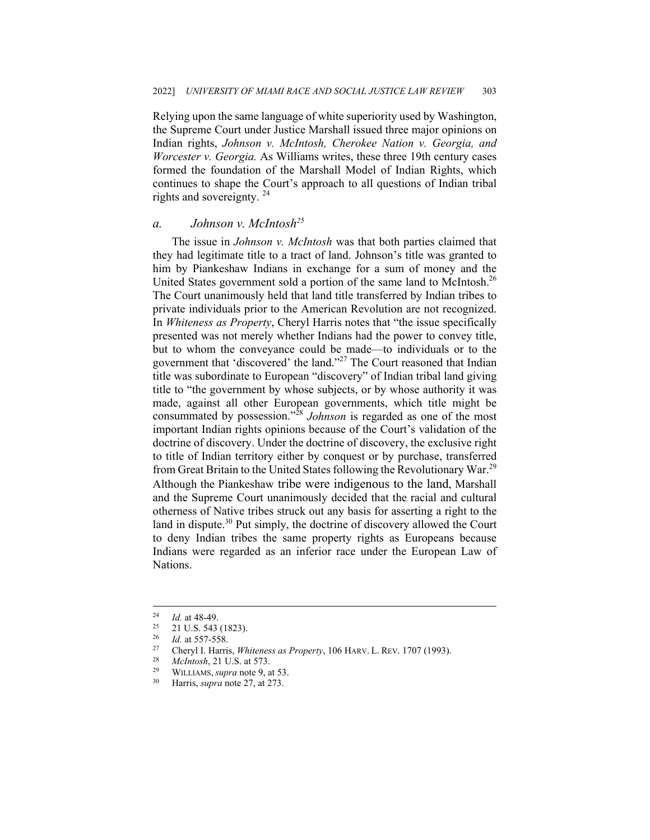Relying upon the same language of white superiority used by Washington, the Supreme Court under Justice Marshall issued three major opinions on Indian rights, *Johnson v. McIntosh, Cherokee Nation v. Georgia, and Worcester v. Georgia.* As Williams writes, these three 19th century cases formed the foundation of the Marshall Model of Indian Rights, which continues to shape the Court's approach to all questions of Indian tribal rights and sovereignty. 24

#### *a. Johnson v. McIntosh25*

The issue in *Johnson v. McIntosh* was that both parties claimed that they had legitimate title to a tract of land. Johnson's title was granted to him by Piankeshaw Indians in exchange for a sum of money and the United States government sold a portion of the same land to McIntosh.<sup>26</sup> The Court unanimously held that land title transferred by Indian tribes to private individuals prior to the American Revolution are not recognized. In *Whiteness as Property*, Cheryl Harris notes that "the issue specifically presented was not merely whether Indians had the power to convey title, but to whom the conveyance could be made—to individuals or to the government that 'discovered' the land."<sup>27</sup> The Court reasoned that Indian title was subordinate to European "discovery" of Indian tribal land giving title to "the government by whose subjects, or by whose authority it was made, against all other European governments, which title might be consummated by possession."<sup>28</sup> *Johnson* is regarded as one of the most important Indian rights opinions because of the Court's validation of the doctrine of discovery. Under the doctrine of discovery, the exclusive right to title of Indian territory either by conquest or by purchase, transferred from Great Britain to the United States following the Revolutionary War.29 Although the Piankeshaw tribe were indigenous to the land, Marshall and the Supreme Court unanimously decided that the racial and cultural otherness of Native tribes struck out any basis for asserting a right to the land in dispute. $30$  Put simply, the doctrine of discovery allowed the Court to deny Indian tribes the same property rights as Europeans because Indians were regarded as an inferior race under the European Law of Nations.

<sup>&</sup>lt;sup>24</sup> *Id.* at 48-49.<br><sup>25</sup> 21 U.S. 543 (1823).<br><sup>26</sup> *Id.* at 557-558.

<sup>&</sup>lt;sup>26</sup> *Id.* at 557-558.<br><sup>27</sup> Charril Herri

<sup>27</sup> Cheryl I. Harris, *Whiteness as Property*, 106 HARV. L. REV. 1707 (1993). 28 *McIntosh*, 21 U.S. at 573. 29 WILLIAMS, *supra* note 9, at 53. 30 Harris, *supra* note 27, at 273.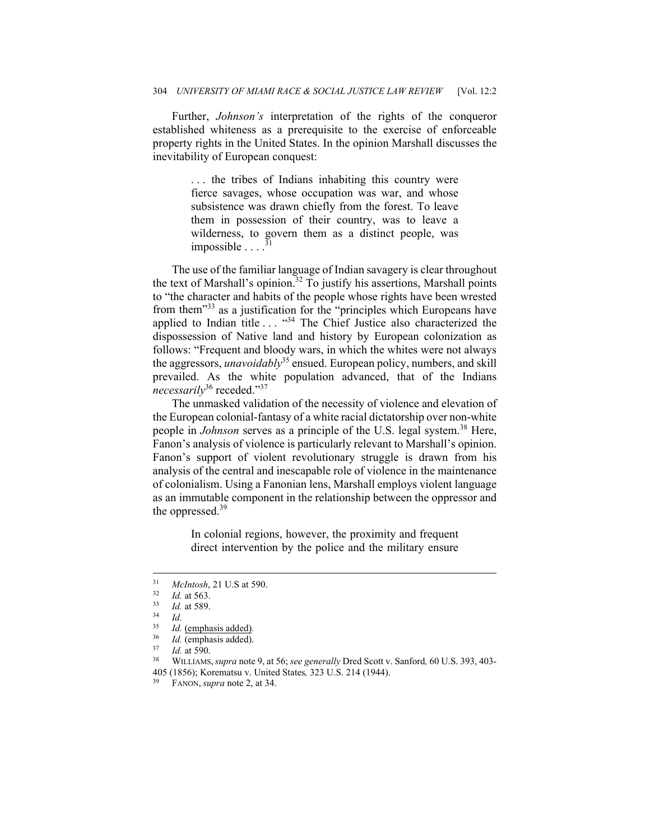Further, *Johnson's* interpretation of the rights of the conqueror established whiteness as a prerequisite to the exercise of enforceable property rights in the United States. In the opinion Marshall discusses the inevitability of European conquest:

> . . . the tribes of Indians inhabiting this country were fierce savages, whose occupation was war, and whose subsistence was drawn chiefly from the forest. To leave them in possession of their country, was to leave a wilderness, to govern them as a distinct people, was impossible  $\ldots$ <sup>3</sup>

The use of the familiar language of Indian savagery is clear throughout the text of Marshall's opinion.<sup>32</sup> To justify his assertions, Marshall points to "the character and habits of the people whose rights have been wrested from them<sup>33</sup> as a justification for the "principles which Europeans have applied to Indian title . . . "34 The Chief Justice also characterized the dispossession of Native land and history by European colonization as follows: "Frequent and bloody wars, in which the whites were not always the aggressors, *unavoidably*35 ensued. European policy, numbers, and skill prevailed. As the white population advanced, that of the Indians *necessarily*<sup>36</sup> receded."<sup>37</sup>

The unmasked validation of the necessity of violence and elevation of the European colonial-fantasy of a white racial dictatorship over non-white people in *Johnson* serves as a principle of the U.S. legal system.<sup>38</sup> Here, Fanon's analysis of violence is particularly relevant to Marshall's opinion. Fanon's support of violent revolutionary struggle is drawn from his analysis of the central and inescapable role of violence in the maintenance of colonialism. Using a Fanonian lens, Marshall employs violent language as an immutable component in the relationship between the oppressor and the oppressed.<sup>39</sup>

> In colonial regions, however, the proximity and frequent direct intervention by the police and the military ensure

<sup>31</sup> *McIntosh*, 21 U.S at 590. 32 *Id.* at 563. 33 *Id.* at 589. 34 *Id.*

<sup>&</sup>lt;sup>35</sup> *Id.* (emphasis added).<br><sup>36</sup> *Id.* (emphasis added)

<sup>36</sup> *Id.* (emphasis added). 37 *Id.* at 590. 38 WILLIAMS,*supra* note 9, at 56; *see generally* Dred Scott v. Sanford*,* 60 U.S. 393, 403- 405 (1856); Korematsu v. United States*,* 323 U.S. 214 (1944). 39 FANON, *supra* note 2, at 34.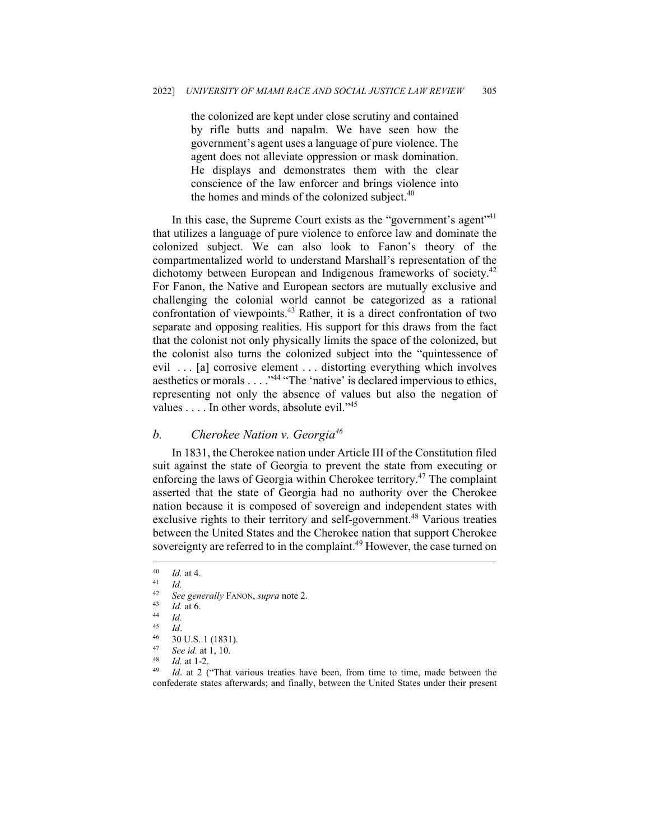the colonized are kept under close scrutiny and contained by rifle butts and napalm. We have seen how the government's agent uses a language of pure violence. The agent does not alleviate oppression or mask domination. He displays and demonstrates them with the clear conscience of the law enforcer and brings violence into the homes and minds of the colonized subject. $40$ 

In this case, the Supreme Court exists as the "government's agent"<sup>41</sup> that utilizes a language of pure violence to enforce law and dominate the colonized subject. We can also look to Fanon's theory of the compartmentalized world to understand Marshall's representation of the dichotomy between European and Indigenous frameworks of society.<sup>42</sup> For Fanon, the Native and European sectors are mutually exclusive and challenging the colonial world cannot be categorized as a rational confrontation of viewpoints.<sup>43</sup> Rather, it is a direct confrontation of two separate and opposing realities. His support for this draws from the fact that the colonist not only physically limits the space of the colonized, but the colonist also turns the colonized subject into the "quintessence of evil . . . [a] corrosive element . . . distorting everything which involves aesthetics or morals . . . . "<sup>44</sup> "The 'native' is declared impervious to ethics, representing not only the absence of values but also the negation of values  $\dots$  In other words, absolute evil."<sup>45</sup>

#### *b. Cherokee Nation v. Georgia46*

In 1831, the Cherokee nation under Article III of the Constitution filed suit against the state of Georgia to prevent the state from executing or enforcing the laws of Georgia within Cherokee territory.<sup>47</sup> The complaint asserted that the state of Georgia had no authority over the Cherokee nation because it is composed of sovereign and independent states with exclusive rights to their territory and self-government.<sup>48</sup> Various treaties between the United States and the Cherokee nation that support Cherokee sovereignty are referred to in the complaint.<sup>49</sup> However, the case turned on

 $\frac{40}{41}$  *Id.* at 4.

 $\frac{41}{42}$  *Id.* 

<sup>42</sup> *See generally* FANON, *supra* note 2. 43 *Id.* at 6. 44 *Id.* 

<sup>45</sup> *Id.*<br>46 30 U.S. 1 (1831).

<sup>47</sup> See id. at 1, 10.<br><sup>48</sup> *Id.* at 1-2.<br><sup>49</sup> *Id.* at 2 ("That various treaties have been, from time to time, made between the confederate states afterwards; and finally, between the United States under their present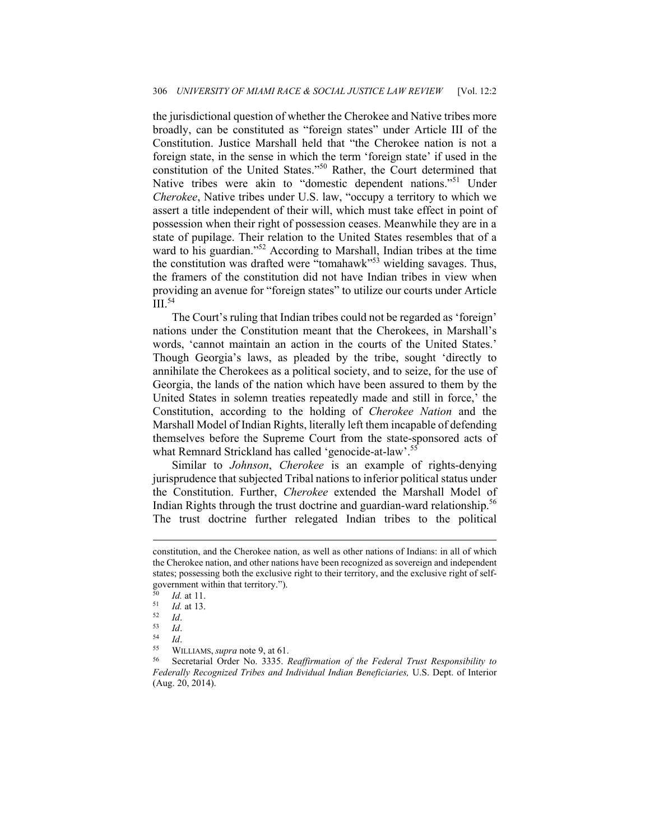the jurisdictional question of whether the Cherokee and Native tribes more broadly, can be constituted as "foreign states" under Article III of the Constitution. Justice Marshall held that "the Cherokee nation is not a foreign state, in the sense in which the term 'foreign state' if used in the constitution of the United States."50 Rather, the Court determined that Native tribes were akin to "domestic dependent nations."51 Under *Cherokee*, Native tribes under U.S. law, "occupy a territory to which we assert a title independent of their will, which must take effect in point of possession when their right of possession ceases. Meanwhile they are in a state of pupilage. Their relation to the United States resembles that of a ward to his guardian."<sup>52</sup> According to Marshall, Indian tribes at the time the constitution was drafted were "tomahawk"<sup>53</sup> wielding savages. Thus, the framers of the constitution did not have Indian tribes in view when providing an avenue for "foreign states" to utilize our courts under Article  $\mathrm{III}$ .<sup>54</sup>

The Court's ruling that Indian tribes could not be regarded as 'foreign' nations under the Constitution meant that the Cherokees, in Marshall's words, 'cannot maintain an action in the courts of the United States.' Though Georgia's laws, as pleaded by the tribe, sought 'directly to annihilate the Cherokees as a political society, and to seize, for the use of Georgia, the lands of the nation which have been assured to them by the United States in solemn treaties repeatedly made and still in force,' the Constitution, according to the holding of *Cherokee Nation* and the Marshall Model of Indian Rights, literally left them incapable of defending themselves before the Supreme Court from the state-sponsored acts of what Remnard Strickland has called 'genocide-at-law'.<sup>55</sup>

Similar to *Johnson*, *Cherokee* is an example of rights-denying jurisprudence that subjected Tribal nations to inferior political status under the Constitution. Further, *Cherokee* extended the Marshall Model of Indian Rights through the trust doctrine and guardian-ward relationship.<sup>56</sup> The trust doctrine further relegated Indian tribes to the political

constitution, and the Cherokee nation, as well as other nations of Indians: in all of which the Cherokee nation, and other nations have been recognized as sovereign and independent states; possessing both the exclusive right to their territory, and the exclusive right of selfgovernment within that territory.").

<sup>50</sup> *Id.* at 11.<br>
51 *Id.* at 13.<br>
52 *Id.*<br>
54 *Id.*<br>
55 WILLIAMS, *supra* note 9, at 61.<br>
56 Secretarial Order No. 3335. *Reaffirmation of the Federal Trust Responsibility to Federally Recognized Tribes and Individual Indian Beneficiaries,* U.S. Dept. of Interior (Aug. 20, 2014).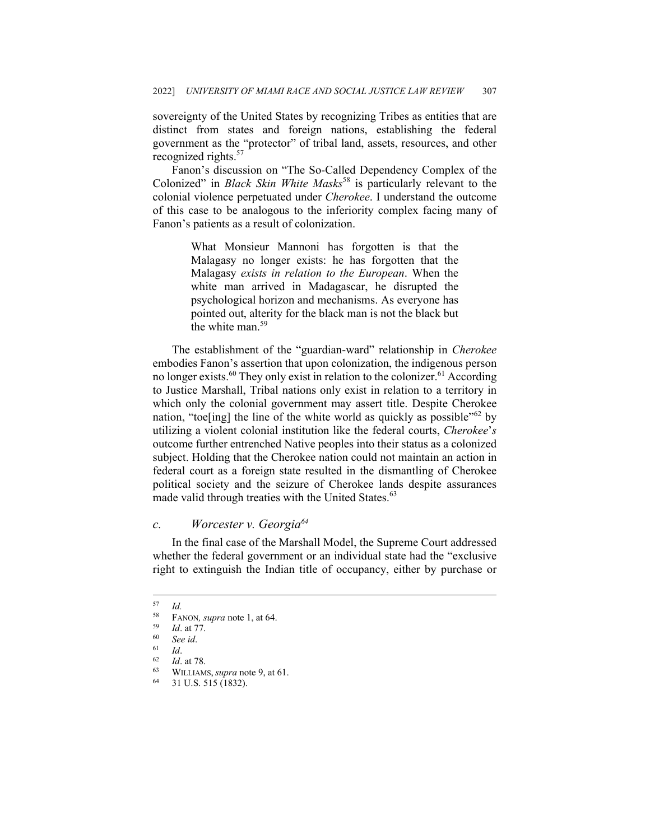sovereignty of the United States by recognizing Tribes as entities that are distinct from states and foreign nations, establishing the federal government as the "protector" of tribal land, assets, resources, and other recognized rights.<sup>57</sup>

Fanon's discussion on "The So-Called Dependency Complex of the Colonized" in *Black Skin White Masks*<sup>58</sup> is particularly relevant to the colonial violence perpetuated under *Cherokee*. I understand the outcome of this case to be analogous to the inferiority complex facing many of Fanon's patients as a result of colonization.

> What Monsieur Mannoni has forgotten is that the Malagasy no longer exists: he has forgotten that the Malagasy *exists in relation to the European*. When the white man arrived in Madagascar, he disrupted the psychological horizon and mechanisms. As everyone has pointed out, alterity for the black man is not the black but the white man.<sup>59</sup>

The establishment of the "guardian-ward" relationship in *Cherokee* embodies Fanon's assertion that upon colonization, the indigenous person no longer exists.<sup>60</sup> They only exist in relation to the colonizer.<sup>61</sup> According to Justice Marshall, Tribal nations only exist in relation to a territory in which only the colonial government may assert title. Despite Cherokee nation, "toe[ing] the line of the white world as quickly as possible"<sup>62</sup> by utilizing a violent colonial institution like the federal courts, *Cherokee*'*s* outcome further entrenched Native peoples into their status as a colonized subject. Holding that the Cherokee nation could not maintain an action in federal court as a foreign state resulted in the dismantling of Cherokee political society and the seizure of Cherokee lands despite assurances made valid through treaties with the United States.<sup>63</sup>

### *c. Worcester v. Georgia64*

In the final case of the Marshall Model, the Supreme Court addressed whether the federal government or an individual state had the "exclusive right to extinguish the Indian title of occupancy, either by purchase or

 $\frac{57}{58}$  *Id.* 

<sup>58</sup> FANON*, supra* note 1, at 64.<br>
59 *Id.* at 77.<br>
60 *See id.*<br>
61 *Id.*<br>
62 *Id.* at 78.<br>
63 WILLIAMS, *supra* note 9, at 61.<br>
64 31 U.S. 515 (1832).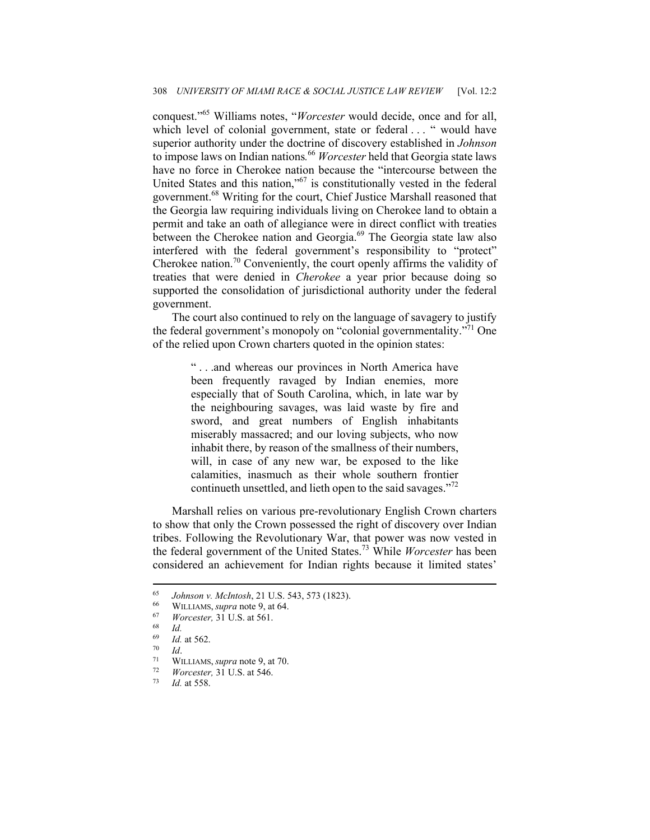conquest."65 Williams notes, "*Worcester* would decide, once and for all, which level of colonial government, state or federal . . . " would have superior authority under the doctrine of discovery established in *Johnson*  to impose laws on Indian nations*.* <sup>66</sup> *Worcester* held that Georgia state laws have no force in Cherokee nation because the "intercourse between the United States and this nation,"67 is constitutionally vested in the federal government.68 Writing for the court, Chief Justice Marshall reasoned that the Georgia law requiring individuals living on Cherokee land to obtain a permit and take an oath of allegiance were in direct conflict with treaties between the Cherokee nation and Georgia.<sup>69</sup> The Georgia state law also interfered with the federal government's responsibility to "protect" Cherokee nation.70 Conveniently, the court openly affirms the validity of treaties that were denied in *Cherokee* a year prior because doing so supported the consolidation of jurisdictional authority under the federal government.

The court also continued to rely on the language of savagery to justify the federal government's monopoly on "colonial governmentality."71 One of the relied upon Crown charters quoted in the opinion states:

> " . . .and whereas our provinces in North America have been frequently ravaged by Indian enemies, more especially that of South Carolina, which, in late war by the neighbouring savages, was laid waste by fire and sword, and great numbers of English inhabitants miserably massacred; and our loving subjects, who now inhabit there, by reason of the smallness of their numbers, will, in case of any new war, be exposed to the like calamities, inasmuch as their whole southern frontier continueth unsettled, and lieth open to the said savages."72

Marshall relies on various pre-revolutionary English Crown charters to show that only the Crown possessed the right of discovery over Indian tribes. Following the Revolutionary War, that power was now vested in the federal government of the United States.73 While *Worcester* has been considered an achievement for Indian rights because it limited states'

<sup>65</sup> *Johnson v. McIntosh*, 21 U.S. 543, 573 (1823). 66 WILLIAMS, *supra* note 9, at 64. 67 *Worcester,* 31 U.S. at 561. 68 *Id.*

<sup>69</sup> *Id.* at 562. 70 *Id*. 71 WILLIAMS, *supra* note 9, at 70. 72 *Worcester,* 31 U.S. at 546. 73 *Id.* at 558.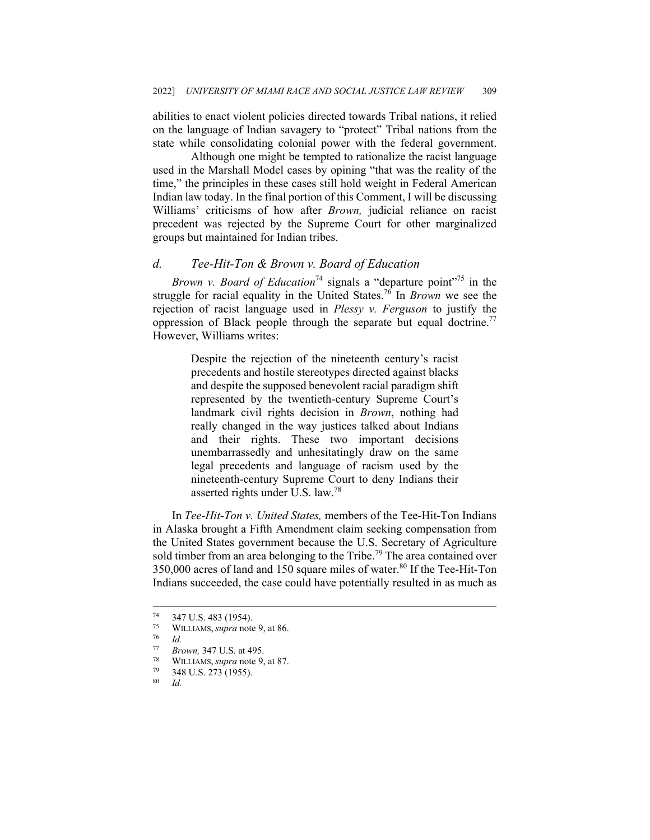abilities to enact violent policies directed towards Tribal nations, it relied on the language of Indian savagery to "protect" Tribal nations from the state while consolidating colonial power with the federal government.

 Although one might be tempted to rationalize the racist language used in the Marshall Model cases by opining "that was the reality of the time," the principles in these cases still hold weight in Federal American Indian law today. In the final portion of this Comment, I will be discussing Williams' criticisms of how after *Brown,* judicial reliance on racist precedent was rejected by the Supreme Court for other marginalized groups but maintained for Indian tribes.

#### *d. Tee-Hit-Ton & Brown v. Board of Education*

*Brown v. Board of Education*<sup>74</sup> signals a "departure point"<sup>75</sup> in the struggle for racial equality in the United States.76 In *Brown* we see the rejection of racist language used in *Plessy v. Ferguson* to justify the oppression of Black people through the separate but equal doctrine.<sup>77</sup> However, Williams writes:

> Despite the rejection of the nineteenth century's racist precedents and hostile stereotypes directed against blacks and despite the supposed benevolent racial paradigm shift represented by the twentieth-century Supreme Court's landmark civil rights decision in *Brown*, nothing had really changed in the way justices talked about Indians and their rights. These two important decisions unembarrassedly and unhesitatingly draw on the same legal precedents and language of racism used by the nineteenth-century Supreme Court to deny Indians their asserted rights under U.S. law.<sup>78</sup>

In *Tee-Hit-Ton v. United States,* members of the Tee-Hit-Ton Indians in Alaska brought a Fifth Amendment claim seeking compensation from the United States government because the U.S. Secretary of Agriculture sold timber from an area belonging to the Tribe.<sup>79</sup> The area contained over 350,000 acres of land and 150 square miles of water.<sup>80</sup> If the Tee-Hit-Ton Indians succeeded, the case could have potentially resulted in as much as

 $^{74}$  347 U.S. 483 (1954).<br> $^{75}$  WHIJAMS *supra* note

<sup>75</sup> WILLIAMS, *supra* note 9, at 86. 76 *Id.* 

<sup>77</sup> *Brown,* 347 U.S. at 495. 78 WILLIAMS, *supra* note 9, at 87.

 $\frac{79}{80}$  348 U.S. 273 (1955).

<sup>80</sup> *Id.*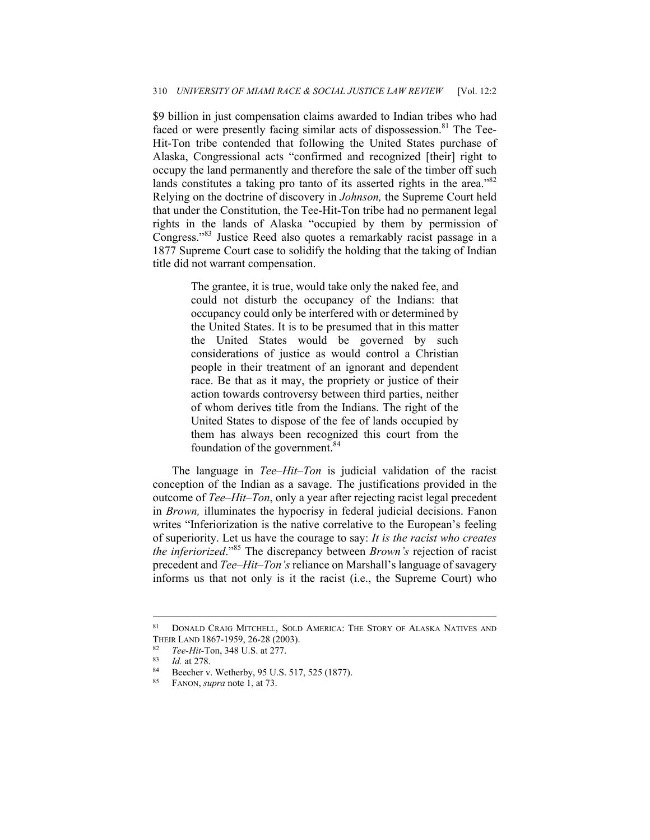\$9 billion in just compensation claims awarded to Indian tribes who had faced or were presently facing similar acts of dispossession.<sup>81</sup> The Tee-Hit-Ton tribe contended that following the United States purchase of Alaska, Congressional acts "confirmed and recognized [their] right to occupy the land permanently and therefore the sale of the timber off such lands constitutes a taking pro tanto of its asserted rights in the area."<sup>82</sup> Relying on the doctrine of discovery in *Johnson,* the Supreme Court held that under the Constitution, the Tee-Hit-Ton tribe had no permanent legal rights in the lands of Alaska "occupied by them by permission of Congress."83 Justice Reed also quotes a remarkably racist passage in a 1877 Supreme Court case to solidify the holding that the taking of Indian title did not warrant compensation.

> The grantee, it is true, would take only the naked fee, and could not disturb the occupancy of the Indians: that occupancy could only be interfered with or determined by the United States. It is to be presumed that in this matter the United States would be governed by such considerations of justice as would control a Christian people in their treatment of an ignorant and dependent race. Be that as it may, the propriety or justice of their action towards controversy between third parties, neither of whom derives title from the Indians. The right of the United States to dispose of the fee of lands occupied by them has always been recognized this court from the foundation of the government.<sup>84</sup>

The language in *Tee–Hit–Ton* is judicial validation of the racist conception of the Indian as a savage. The justifications provided in the outcome of *Tee–Hit–Ton*, only a year after rejecting racist legal precedent in *Brown,* illuminates the hypocrisy in federal judicial decisions. Fanon writes "Inferiorization is the native correlative to the European's feeling of superiority. Let us have the courage to say: *It is the racist who creates the inferiorized*."85 The discrepancy between *Brown's* rejection of racist precedent and *Tee–Hit–Ton's* reliance on Marshall's language of savagery informs us that not only is it the racist (i.e., the Supreme Court) who

<sup>81</sup> DONALD CRAIG MITCHELL, SOLD AMERICA: THE STORY OF ALASKA NATIVES AND THEIR LAND 1867-1959, 26-28 (2003).

<sup>82</sup> *Tee-Hit-*Ton, 348 U.S. at 277.<br>
83 *Id.* at 278.<br>
Beecher v. Wetherby, 95 U.S. 517, 525 (1877).<br>
85 **EANON** sunns note 1 at 73.

<sup>85</sup> FANON, *supra* note 1, at 73.